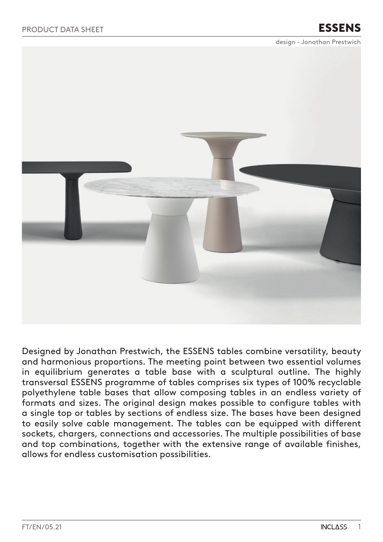design - Jonathan Prestwich



Designed by Jonathan Prestwich, the ESSENS tables combine versatility, beauty and harmonious proportions. The meeting point between two essential volumes in equilibrium generates a table base with a sculptural outline. The highly transversal ESSENS programme of tables comprises six types of 100% recyclable polyethylene table bases that allow composing tables in an endless variety of formats and sizes. The original design makes possible to configure tables with a single top or tables by sections of endless size. The bases have been designed to easily solve cable management. The tables can be equipped with different sockets, chargers, connections and accessories. The multiple possibilities of base and top combinations, together with the extensive range of available finishes, allows for endless customisation possibilities.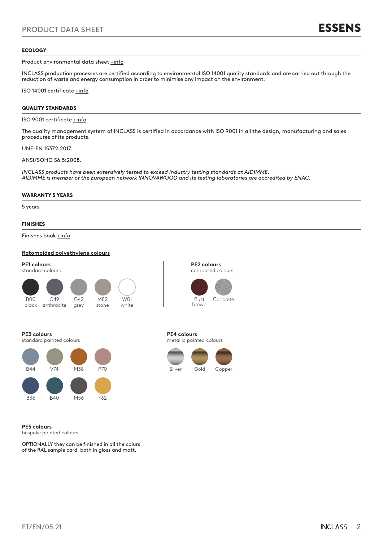### ECOLOGY

Product environmental data sheet [+info](https://inclass.es/wp-content/files_mf/1596106053FM_ESSENS_ENG.pdf)

INCLASS production processes are certified according to environmental ISO 14001 quality standards and are carried out through the reduction of waste and energy consumption in order to minimise any impact on the environment.

ISO 14001 certificate [+info](https://inclass.es/wp-content/files_mf/1589894317INCLASS_ISO14001_2019.pdf)

### QUALITY STANDARDS

ISO 9001 certificate **+info** 

The quality management system of INCLASS is certified in accordance with ISO 9001 in all the design, manufacturing and sales procedures of its products.

UNE-EN 15372:2017.

ANSI/SOHO S6.5:2008.

*INCLASS products have been extensively tested to exceed industry testing standards at AIDIMME. AIDIMME is member of the European network INNOVAWOOD and its testing laboratories are accredited by ENAC.*

### WARRANTY 5 YEARS

5 years

### FINISHES

Finishes book [+info](https://inclass.es/wp-content/files_mf/1580139573ESSENSSwatchBook.pdf)

### **Rotomolded polyethylene colours**

**PE1 colours** standard colours G42 B00







**PE4 colours**

metallic painted colours

### **PE3 colours**

standard painted colours

black anthracite



grey

**PE5 colours**

bespoke painted colours

OPTIONALLY they can be finished in all the colurs of the RAL sample card, both in gloss and matt.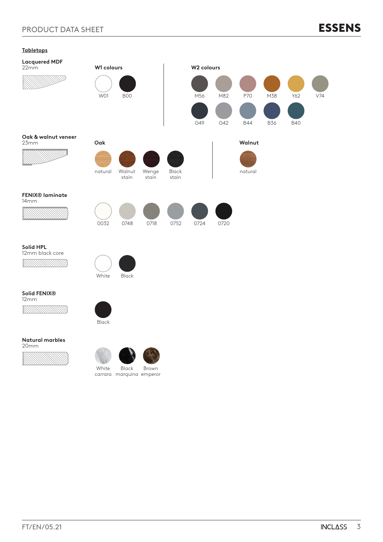# PRODUCT DATA SHEET



| <u>Labietops</u>                 |            |                                   |                |                |            |            |                   |                   |                   |     |
|----------------------------------|------------|-----------------------------------|----------------|----------------|------------|------------|-------------------|-------------------|-------------------|-----|
| <b>Lacquered MDF</b><br>22mm     | W1 colours |                                   |                |                | W2 colours |            |                   |                   |                   |     |
|                                  | <b>W01</b> | <b>B00</b>                        |                |                | M56<br>G49 | M82<br>G42 | P70<br><b>B44</b> | M38<br><b>B36</b> | Y62<br><b>B40</b> | V74 |
| Oak & walnut veneer<br>23mm      | Oak        |                                   |                |                |            |            | Walnut            |                   |                   |     |
|                                  | natural    | Walnut<br>stain                   | Wenge<br>stain | Black<br>stain |            |            | natural           |                   |                   |     |
| <b>FENIX®</b> laminate<br>14mm   |            |                                   |                |                |            |            |                   |                   |                   |     |
|                                  | 0032       | 0748                              | 0718           | 0752           | 0724       | 0720       |                   |                   |                   |     |
| Solid HPL<br>12mm black core     | White      | Black                             |                |                |            |            |                   |                   |                   |     |
| Solid FENIX <sup>®</sup><br>12mm |            |                                   |                |                |            |            |                   |                   |                   |     |
|                                  | Black      |                                   |                |                |            |            |                   |                   |                   |     |
| <b>Natural marbles</b><br>20mm   |            |                                   |                |                |            |            |                   |                   |                   |     |
|                                  | White      | Black<br>carrara marquina emperor | Brown          |                |            |            |                   |                   |                   |     |
|                                  |            |                                   |                |                |            |            |                   |                   |                   |     |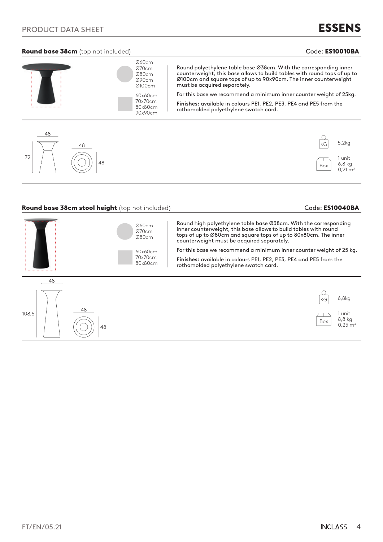### Round base 38cm (top not included) and the contract of the code: ES10010BA code: ES10010BA

# ESSENS



### Round base 38cm stool height (top not included) example and the code: ES10040BA

Box

6,8 kg  $0,21 \text{ m}^3$ 

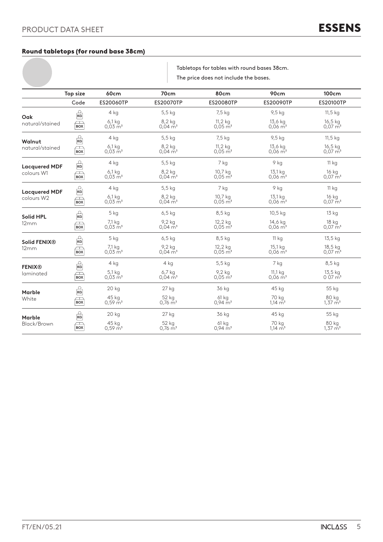### Round tabletops (for round base 38cm)

Tabletops for tables with round bases 38cm. The price does not include the bases.

|                                    | Top size                               | <b>60cm</b>                      | 70cm                              | 80cm                               | 90cm                             | 100cm                            |
|------------------------------------|----------------------------------------|----------------------------------|-----------------------------------|------------------------------------|----------------------------------|----------------------------------|
|                                    | Code                                   | ES20060TP                        | <b>ES20070TP</b>                  | ES20080TP                          | ES20090TP                        | <b>ES20100TP</b>                 |
| Oak                                | $\frac{1}{\kappa}$                     | $4$ kg                           | $5,5$ kg                          | 7,5 kg                             | 9,5 kg                           | $11,5$ kg                        |
| natural/stained                    | $\Box$<br><b>BOX</b>                   | $6,1$ kg<br>$0,03 \, \text{m}^3$ | $8,2$ kg<br>$0.04 \,\mathrm{m}^3$ | 11,2 kg<br>$0,05 \,\mathrm{m}^3$   | 13,6 kg<br>$0,06 \,\mathrm{m}^3$ | 16,5 kg<br>$0,07 \, \text{m}^3$  |
| Walnut                             | $\frac{\Omega}{\kappa G}$              | 4 kg                             | 5,5 kg                            | 7,5 kg                             | 9,5 kg                           | 11,5 kg                          |
| natural/stained                    | $\Box$<br><b>BOX</b>                   | $6,1$ kg<br>$0.03 \text{ m}^3$   | $8,2$ kg<br>$0.04 \,\mathrm{m}^3$ | $11,2$ kg<br>$0.05 \,\mathrm{m}^3$ | 13,6 kg<br>$0.06 \,\mathrm{m}^3$ | 16,5 kg<br>$0.07 \text{ m}^3$    |
| <b>Lacquered MDF</b>               | $\frac{2}{\kappa G}$                   | 4 kg                             | 5,5 kg                            | 7 kg                               | 9 kg                             | <b>11 kg</b>                     |
| colours W1                         | $\Box$<br><b>BOX</b>                   | $6,1$ kg<br>$0.03 \text{ m}^3$   | $8,2$ kg<br>$0.04 \,\mathrm{m}^3$ | 10,7 kg<br>$0.05 \,\mathrm{m}^3$   | 13,1 kg<br>$0.06 \,\mathrm{m}^3$ | 16 kg<br>$0.07 \text{ m}^3$      |
| <b>Lacquered MDF</b><br>colours W2 | $\frac{1}{\kappa}$                     | $4$ kg                           | $5,5$ kg                          | 7 kg                               | 9 kg                             | 11 <sub>kg</sub>                 |
|                                    | $\equiv$<br><b>BOX</b>                 | $6,1$ kg<br>$0.03 \text{ m}^3$   | $8,2$ kg<br>$0.04 \,\mathrm{m}^3$ | 10,7 kg<br>$0,05 \, \text{m}^3$    | 13,1 kg<br>$0.06 \,\mathrm{m}^3$ | 16 kg<br>$0.07 \text{ m}^3$      |
| <b>Solid HPL</b>                   | $\frac{1}{5}$                          | 5 kg                             | $6,5$ kg                          | $8,5$ kg                           | 10,5 kg                          | 13 <sub>kg</sub>                 |
| 12mm                               | J<br><b>BOX</b>                        | 7,1 kg<br>$0.03 \text{ m}^3$     | 9,2 kg<br>$0.04 \,\mathrm{m}^3$   | 12,2 kg<br>$0.05 \,\mathrm{m}^3$   | 14,6 kg<br>$0.06 \,\mathrm{m}^3$ | 18 kg<br>$0.07 \text{ m}^3$      |
| <b>Solid FENIX®</b>                | $\frac{D}{\kappa G}$                   | 5 kg                             | $6,5$ kg                          | $8,5$ kg                           | 11 kg                            | 13,5 kg                          |
| 12mm                               | þ<br><b>BOX</b>                        | 7,1 kg<br>$0,03 \text{ m}^3$     | 9,2 kg<br>$0,04 \, \text{m}^3$    | 12,2 kg<br>$0.05 \,\mathrm{m}^3$   | 15,1 kg<br>$0.06 \,\mathrm{m}^3$ | 18,5 kg<br>0,07 m <sup>3</sup>   |
| <b>FENIX®</b>                      | $\frac{1}{\kappa}$                     | $4$ kg                           | 4 kg                              | 5,5 kg                             | 7 kg                             | 8,5 kg                           |
| laminated                          | $\overline{\phantom{a}}$<br><b>BOX</b> | 5,1 kg<br>$0.03 \,\mathrm{m}^3$  | $6,7$ kg<br>$0.04 \,\mathrm{m}^3$ | $9,2$ kg<br>$0.05 \,\mathrm{m}^3$  | 11,1 kg<br>$0.06 \,\mathrm{m}^3$ | 13,5 kg<br>$0.07 \,\mathrm{m}^3$ |
|                                    | $\frac{2}{5}$                          | 20 kg                            | 27 kg                             | 36 kg                              | 45 kg                            | 55 kg                            |
| <b>Marble</b><br>White             | $\Box$<br><b>BOX</b>                   | 45 kg<br>$0.59 \text{ m}^3$      | 52 kg<br>$0.76 \text{ m}^3$       | 61 kg<br>$0.94 \text{ m}^3$        | 70 kg<br>$1,14 \text{ m}^3$      | 80 kg<br>$1,37 \text{ m}^3$      |
| Marble                             | $\frac{1}{\kappa G}$                   | 20 kg                            | 27 kg                             | 36 kg                              | 45 kg                            | 55 kg                            |
| Black/Brown                        | $\Box$<br><b>BOX</b>                   | 45 kg<br>$0.59 \text{ m}^3$      | 52 kg<br>$0.76 \text{ m}^3$       | 61 kg<br>$0.94 \text{ m}^3$        | 70 kg<br>$1,14 \, \text{m}^3$    | 80 kg<br>$1,37 \text{ m}^3$      |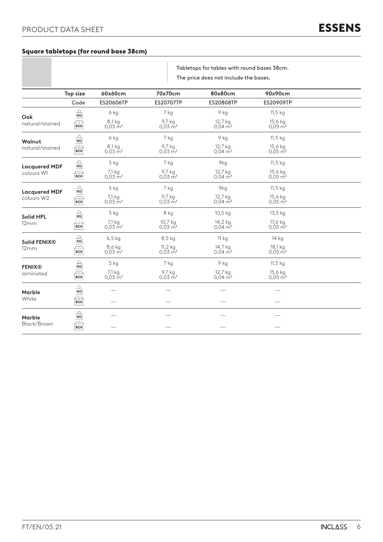### Square tabletops (for round base 38cm)

Tabletops for tables with round bases 38cm. The price does not include the bases.

|                          | Top size                                          | 60x60cm                          | 70x70cm                          | 80x80cm                          | 90x90cm                          |  |
|--------------------------|---------------------------------------------------|----------------------------------|----------------------------------|----------------------------------|----------------------------------|--|
|                          | Code                                              | ES20606TP                        | <b>ES20707TP</b>                 | ES20808TP                        | ES20909TP                        |  |
| Oak                      | $\frac{\Omega}{\text{KG}}$                        | 6 kg                             | 7 kg                             | 9 kg                             | 11,5 kg                          |  |
| natural/stained          | $\mathcal{F}_{\text{Box}}$                        | 8,1 kg<br>$0,03 \, \text{m}^3$   | 9,7 kg<br>$0,03 \, \mathrm{m}^3$ | 12,7 kg<br>$0.04 \text{ m}^3$    | 15,6 kg<br>$0,05 \, \text{m}^3$  |  |
| Walnut                   | $\mathop{\mathsf{KG}}\limits^{\mathsf{O}}$        | 6 kg                             | 7 kg                             | 9 kg                             | 11,5 kg                          |  |
| natural/stained          | $\sqrt{2}$<br><b>BOX</b>                          | 8,1 kg<br>$0,03 \text{ m}^3$     | 9,7 kg<br>$0.03 \,\mathrm{m}^3$  | 12,7 kg<br>$0.04 \,\mathrm{m}^3$ | 15,6 kg<br>$0.05 \,\mathrm{m}^3$ |  |
| <b>Lacquered MDF</b>     | $\overbrace{\textbf{K}\textbf{G}}^{\Omega}$       | $5$ kg                           | 7 kg                             | 9kg                              | 11,5 kg                          |  |
| colours W1               | $\sqrt{2}$<br><b>BOX</b>                          | 7,1 kg<br>$0,03 \, \text{m}^3$   | 9,7 kg<br>$0.03 \text{ m}^3$     | 12,7 kg<br>0,04 m <sup>3</sup>   | 15,6 kg<br>$0,05 \,\mathrm{m}^3$ |  |
| <b>Lacquered MDF</b>     | $\mathop{\mathsf{KG}}\nolimits$                   | 5 kg                             | 7 kg                             | 9kg                              | 11,5 kg                          |  |
| colours W2               | $\overline{Box}$                                  | 7,1 kg<br>$0,03 \, \text{m}^3$   | 9,7 kg<br>$0.03 \,\mathrm{m}^3$  | 12,7 kg<br>$0,04 \, \text{m}^3$  | 15,6 kg<br>$0,05 \,\mathrm{m}^3$ |  |
| <b>Solid HPL</b>         | $\mathop{\mathsf{KG}}\limits^{\mathsf{O}}$        | 5 kg                             | 8 kg                             | 10,5 kg                          | 13,5 kg                          |  |
| 12mm                     | ŋ<br><b>BOX</b>                                   | 7,1 kg<br>$0,03 \, \mathrm{m}^3$ | 10,7 kg<br>$0.03 \,\mathrm{m}^3$ | 14,2 kg<br>$0.04 \,\mathrm{m}^3$ | 17,6 kg<br>$0,05 \,\mathrm{m}^3$ |  |
| Solid FENIX <sup>®</sup> | $\Omega$ KG                                       | $6,5$ kg                         | 8,5 kg                           | 11 kg                            | 14 kg                            |  |
| 12mm                     | $\Box$<br><b>BOX</b>                              | 8,6 kg<br>$0.03 \,\mathrm{m}^3$  | 11,2 kg<br>$0.03 \,\mathrm{m}^3$ | 14,7 kg<br>$0.04 \,\mathrm{m}^3$ | 18,1 kg<br>$0.05 \,\mathrm{m}^3$ |  |
| <b>FENIX®</b>            | $\Gamma$                                          | 5 kg                             | 7 kg                             | 9 kg                             | 11,5 kg                          |  |
| laminated                | $\overline{Box}$                                  | 7,1 kg<br>$0,03 \, \text{m}^3$   | 9,7 kg<br>$0.03 \,\mathrm{m}^3$  | 12,7 kg<br>$0.04 \,\mathrm{m}^3$ | 15,6 kg<br>$0.05 \,\mathrm{m}^3$ |  |
| <b>Marble</b>            | $\frac{c}{\kappa G}$                              |                                  |                                  |                                  |                                  |  |
| White                    | $\equiv$<br><b>BOX</b>                            |                                  |                                  |                                  |                                  |  |
| Marble                   | $\mathop{\mathrm{K\acute{e}l}}\limits^{\bigcirc}$ |                                  |                                  |                                  |                                  |  |
| Black/Brown              | $\mathbf{Box}$                                    |                                  |                                  |                                  |                                  |  |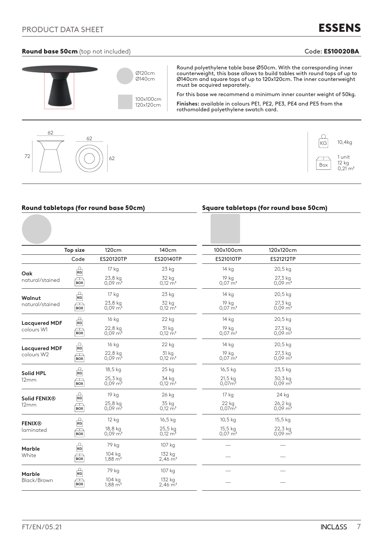# ESSENS

## Round base 50cm (top not included) and the contract of the code: ES10020BA





|                          |                                        | Round tabletops (for round base 50cm) |                                 |                                    | <b>Square tabletops (for round base 50cm)</b> |  |
|--------------------------|----------------------------------------|---------------------------------------|---------------------------------|------------------------------------|-----------------------------------------------|--|
|                          |                                        |                                       |                                 |                                    |                                               |  |
|                          | <b>Top size</b>                        | 120cm                                 | 140cm                           | 100x100cm                          | 120x120cm                                     |  |
|                          | Code                                   | ES20120TP                             | ES20140TP                       | <b>ES21010TP</b>                   | ES21212TP                                     |  |
| Oak                      | ကြ                                     | 17 kg                                 | 23 kg                           | 14 kg                              | 20,5 kg                                       |  |
| natural/stained          | $\Box$<br><b>BOX</b>                   | 23,8 kg<br>$0.09 \text{ m}^3$         | 32 kg<br>$0,12 \, \text{m}^3$   | 19 kg<br>$0.07 \text{ m}^3$        | 27,3 kg<br>$0.09 \,\mathrm{m}^3$              |  |
| Walnut                   | $\frac{O}{\text{KG}}$                  | 17 kg                                 | 23 kg                           | 14 kg                              | 20,5 kg                                       |  |
| natural/stained          | $\overline{_{\rm Box}}$                | 23,8 kg<br>$0,09 \, \mathrm{m}^3$     | 32 kg<br>$0,12 \, \text{m}^3$   | 19 kg<br>$0.07 \text{ m}^3$        | 27,3 kg<br>$0,09 \, \mathrm{m}^3$             |  |
| <b>Lacquered MDF</b>     | $\frac{C}{\kappa G}$                   | 16 kg                                 | 22 kg                           | 14 kg                              | 20,5 kg                                       |  |
| colours W1               | $\Box$<br><b>BOX</b>                   | 22,8 kg<br>$0,09 \, \text{m}^3$       | 31 kg<br>$0,12 \text{ m}^3$     | 19 kg<br>$0.07 \text{ m}^3$        | 27,3 kg<br>$0,09 \, \mathrm{m}^3$             |  |
| <b>Lacquered MDF</b>     | $\Omega$                               | 16 kg                                 | 22 kg                           | 14 kg                              | 20,5 kg                                       |  |
| colours W2               | $\overline{_{\rm Box}}$                | 22,8 kg<br>$0,09 \, \text{m}^3$       | 31 kg<br>$0,12 \text{ m}^3$     | 19 kg<br>$0.07 \text{ m}^3$        | 27,3 kg<br>$0,09 \, \mathrm{m}^3$             |  |
| <b>Solid HPL</b>         | $\frac{1}{\kappa}$                     | 18,5 kg                               | 25 kg                           | 16,5 kg                            | 23,5 kg                                       |  |
| 12mm                     | $\equiv$<br><b>BOX</b>                 | 25,3 kg<br>$0.09 \text{ m}^3$         | 34 kg<br>$0,12 \, \text{m}^3$   | $21,5$ kg<br>0.07 <sup>5</sup>     | 30,3 kg<br>$0,09 \, \text{m}^3$               |  |
| Solid FENIX <sup>®</sup> | $\frac{1}{\kappa G}$                   | 19 kg                                 | 26 kg                           | 17 kg                              | 24 kg                                         |  |
| 12mm                     | $\overline{_{\rm Box}}$                | 25,8 kg<br>$0,09 \,\mathrm{m}^3$      | 35 kg<br>$0,12 \, \text{m}^3$   | 22 kg<br>$0,07\rm \widetilde{m}^3$ | 26,2 kg<br>$0,09 \, \text{m}^3$               |  |
| <b>FENIX®</b>            | $\frac{\Omega}{\text{KG}}$             | 12 kg                                 | 16,5 kg                         | $10,5$ kg                          | 15,5 kg                                       |  |
| laminated                | $\Box$<br><b>BOX</b>                   | 18,8 kg<br>$0.09 \,\mathrm{m}^3$      | 25,5 kg<br>$0,12 \text{ m}^3$   | 15,5 kg<br>$0,07 \,\mathrm{m}^3$   | 22,3 kg<br>$0,09 \, \text{m}^3$               |  |
| Marble                   | $\Omega$                               | 79 kg                                 | 107 kg                          |                                    |                                               |  |
| White                    | $\overline{\phantom{a}}$<br><b>BOX</b> | 104 kg<br>1,88 m <sup>3</sup>         | 132 kg<br>2,46 m <sup>3</sup>   |                                    |                                               |  |
| <b>Marble</b>            | $\frac{\Omega}{\text{KG}}$             | 79 kg                                 | 107 kg                          |                                    |                                               |  |
| Black/Brown              | $\equiv$<br><b>BOX</b>                 | 104 kg<br>$1,88 \, \mathrm{m}^3$      | 132 kg<br>$2,46 \,\mathrm{m}^3$ |                                    |                                               |  |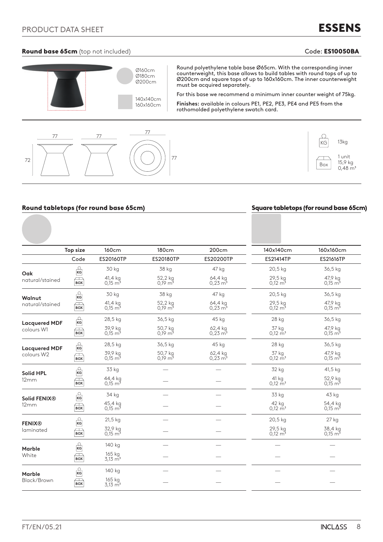### Round base 65cm (top not included) and the contract of the code: ES10050BA code:

ESSENS



### Round tabletops (for round base 65cm) Square tabletops (for round base 65cm)

|                                    | Top size                             | 160cm                          | 180cm                         | 200cm                           | 140x140cm                       | 160x160cm                         |
|------------------------------------|--------------------------------------|--------------------------------|-------------------------------|---------------------------------|---------------------------------|-----------------------------------|
|                                    | Code                                 | ES20160TP                      | <b>ES20180TP</b>              | ES20200TP                       | <b>ES21414TP</b>                | ES21616TP                         |
| Oak                                | $\frac{Q}{\text{KG}}$                | 30 kg                          | 38 kg                         | 47 kg                           | 20,5 kg                         | 36,5 kg                           |
| natural/stained                    | $\sum_{\text{BOX}}$                  | 41,4 kg<br>$0.15 \text{ m}^3$  | 52,2 kg<br>$0.19 \text{ m}^3$ | 64,4 kg<br>$0,23 \text{ m}^3$   | 29,5 kg<br>$0,12 \, \text{m}^3$ | 47,9 kg<br>$0,15 \, \mathrm{m}^3$ |
| Walnut                             | $\frac{Q}{RG}$                       | 30 kg                          | 38 kg                         | 47 kg                           | 20,5 kg                         | 36,5 kg                           |
| natural/stained                    | $\equiv$<br><b>BOX</b>               | 41,4 kg<br>$0.15 \text{ m}^3$  | 52,2 kg<br>$0.19 \text{ m}^3$ | 64,4 kg<br>$0,23 \, \text{m}^3$ | 29,5 kg<br>$0,12 \, \text{m}^3$ | 47,9 kg<br>$0.15 \text{ m}^3$     |
| <b>Lacquered MDF</b>               | $\frac{Q}{\text{KG}}$                | 28,5 kg                        | 36,5 kg                       | 45 kg                           | 28 kg                           | 36,5 kg                           |
| colours W1                         | $\Box$<br><b>BOX</b>                 | 39,9 kg<br>$0,15 \text{ m}^3$  | 50,7 kg<br>$0,19 \text{ m}^3$ | 62,4 kg<br>$0,23 \, \text{m}^3$ | 37 kg<br>$0,12 \text{ m}^3$     | 47,9 kg<br>$0,15 \, \mathrm{m}^3$ |
|                                    | $\frac{c}{\kappa}$                   | 28,5 kg                        | 36,5 kg                       | 45 kg                           | 28 kg                           | 36,5 kg                           |
| <b>Lacquered MDF</b><br>colours W2 | $\Box$<br><b>BOX</b>                 | 39,9 kg<br>$0.15 \text{ m}^3$  | 50,7 kg<br>$0,19 \text{ m}^3$ | 62,4 kg<br>$0,23 \, \text{m}^3$ | 37 kg<br>$0,12 \text{ m}^3$     | 47,9 kg<br>$0,15 \, \text{m}^3$   |
| <b>Solid HPL</b>                   | $\overbrace{\textbf{KG}}^{\text{C}}$ | 33 kg                          |                               |                                 | 32 kg                           | 41,5 kg                           |
| 12mm                               | $\Box$<br><b>BOX</b>                 | 44,4 kg<br>$0.15 \text{ m}^3$  |                               |                                 | 41 kg<br>$0.12 \text{ m}^3$     | 52,9 kg<br>$0,15 \, \text{m}^3$   |
| Solid FENIX®                       | $\Gamma$                             | 34 kg                          |                               |                                 | 33 kg                           | 43 kg                             |
| 12mm                               | $\Box$<br><b>BOX</b>                 | 45,4 kg<br>$0.15 \text{ m}^3$  |                               |                                 | 42 kg<br>$0.12 \text{ m}^3$     | 54,4 kg<br>$0.15 \text{ m}^3$     |
| <b>FENIX®</b>                      | $\frac{Q}{\text{KG}}$                | $21,5$ kg                      |                               |                                 | 20,5 kg                         | $27$ kg                           |
| laminated                          | j<br><b>BOX</b>                      | 32,9 kg<br>$0.15 \text{ m}^3$  |                               |                                 | 29,5 kg<br>$0.12 \text{ m}^3$   | 38,4 kg<br>$0.15 \text{ m}^3$     |
| <b>Marble</b>                      | $\frac{Q}{RG}$                       | 140 kg                         |                               |                                 |                                 |                                   |
| White                              | $\bigoplus_{\mathbf{BOX}}$           | 165 kg<br>$3,13 \, \text{m}^3$ |                               |                                 |                                 |                                   |
| <b>Marble</b>                      | $\frac{Q}{\text{KG}}$                | 140 kg                         |                               |                                 |                                 |                                   |
| Black/Brown                        | $\Box$<br><b>BOX</b>                 | 165 kg<br>$3,13 \, \text{m}^3$ |                               |                                 |                                 |                                   |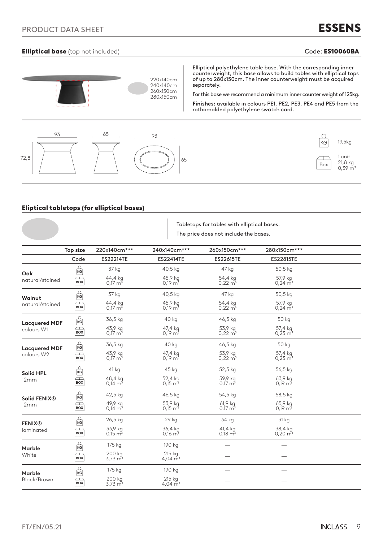## Elliptical base (top not included) and the contract of the code: ES10060BA Code: ES10060BA



### Eliptical tabletops (for elliptical bases)

|                                    |                            |                               | Tabletops for tables with elliptical bases.<br>The price does not include the bases. |                                  |                                 |  |  |
|------------------------------------|----------------------------|-------------------------------|--------------------------------------------------------------------------------------|----------------------------------|---------------------------------|--|--|
|                                    | Top size                   | 220x140cm***                  | 240x140cm***                                                                         | 260x150cm***                     | 280x150cm***                    |  |  |
|                                    | Code                       | ES22214TE                     | ES22414TE                                                                            | ES22615TE                        | ES22815TE                       |  |  |
| Oak                                | $\frac{1}{\kappa}$         | 37 kg                         | 40,5 kg                                                                              | 47 kg                            | 50,5 kg                         |  |  |
| natural/stained                    | $\mathbb{R}$               | 44,4 kg<br>$0.17 \text{ m}^3$ | 45,9 kg<br>$0.19 \text{ m}^3$                                                        | 54,4 kg<br>$0,22 \, \text{m}^3$  | 57,9 kg<br>$0,24 \, \text{m}^3$ |  |  |
| Walnut                             | $\frac{1}{\kappa G}$       | 37 kg                         | 40,5 kg                                                                              | 47 kg                            | 50,5 kg                         |  |  |
| natural/stained                    | $\sum_{\text{BOX}}$        | 44,4 kg<br>$0.17 \text{ m}^3$ | 45,9 kg<br>$0,19 \text{ m}^3$                                                        | 54,4 kg<br>$0,22 \text{ m}^3$    | 57,9 kg<br>$0,24 \text{ m}^3$   |  |  |
| <b>Lacquered MDF</b>               | $\frac{1}{\kappa G}$       | 36,5 kg                       | 40 kg                                                                                | 46,5 kg                          | 50 kg                           |  |  |
| colours W1                         | $\sqrt{2}$<br><b>BOX</b>   | 43,9 kg<br>$0.17 \text{ m}^3$ | 47,4 kg<br>$0,19 \text{ m}^3$                                                        | 53,9 kg<br>$0,22 \,\mathrm{m}^3$ | 57,4 kg<br>$0,23 \, \text{m}^3$ |  |  |
| <b>Lacquered MDF</b><br>colours W2 | $\frac{\Omega}{\text{KG}}$ | 36,5 kg                       | 40 kg                                                                                | 46,5 kg                          | 50 kg                           |  |  |
|                                    | $\mathbb{R}$               | 43,9 kg<br>$0.17 \text{ m}^3$ | 47,4 kg<br>0.19 m <sup>3</sup>                                                       | 53,9 kg<br>$0.22 \text{ m}^3$    | 57,4 kg<br>$0.23 \text{ m}^3$   |  |  |
| <b>Solid HPL</b>                   | $\frac{C}{\kappa G}$       | 41 kg                         | 45 kg                                                                                | 52,5 kg                          | 56,5 kg                         |  |  |
| 12mm                               | $\sqrt{2}$<br>BOX          | 48,4 kg<br>$0,14 \text{ m}^3$ | 52,4 kg<br>$0,15 \text{ m}^3$                                                        | 59,9 kg<br>$0,17 \text{ m}^3$    | 63,9 kg<br>$0,19 \text{ m}^3$   |  |  |
| Solid FENIX <sup>®</sup>           | $\frac{1}{1}$ KG           | 42,5 kg                       | 46,5 kg                                                                              | 54,5 kg                          | 58,5 kg                         |  |  |
| 12mm                               | $\mathbf{Box}$             | 49,9 kg<br>$0.14 \text{ m}^3$ | 53,9 kg<br>$0,15 \text{ m}^3$                                                        | 61,9 kg<br>$0,17 \text{ m}^3$    | 65,9 kg<br>$0.19 \text{ m}^3$   |  |  |
| <b>FENIX®</b>                      | $\frac{1}{\kappa}$         | 26,5 kg                       | 29 kg                                                                                | 34 kg                            | 31 kg                           |  |  |
| laminated                          | $\mathbb{R}$               | 33,9 kg<br>$0,15 \text{ m}^3$ | 36,4 kg<br>$0,16 \text{ m}^3$                                                        | 41,4 kg<br>$0,18 \text{ m}^3$    | 38,4 kg<br>$0,20 \, \text{m}^3$ |  |  |
| <b>Marble</b>                      | $\frac{1}{\kappa}$         | 175 kg                        | 190 kg                                                                               |                                  |                                 |  |  |
| White                              | $\equiv$<br><b>BOX</b>     | 200 kg<br>$3,73 \text{ m}^3$  | $215$ kg<br>4,04 $\rm m^3$                                                           |                                  |                                 |  |  |
| <b>Marble</b>                      | $\frac{1}{\kappa G}$       | 175 kg                        | 190 kg                                                                               |                                  |                                 |  |  |
| Black/Brown                        | $\Box$<br><b>BOX</b>       | 200 kg<br>$3,73 \text{ m}^3$  | 215 kg<br>4,04 $\overline{m}^3$                                                      |                                  |                                 |  |  |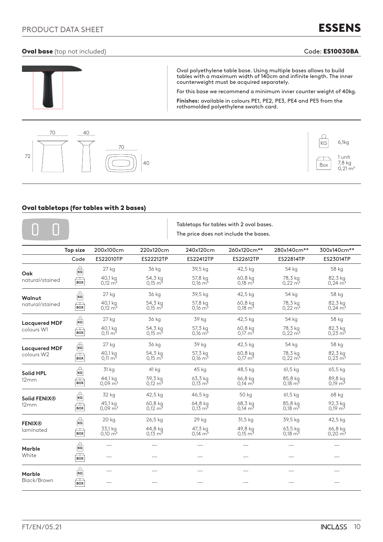## PRODUCT DATA SHEET

# ESSENS

### Oval base (top not included) and the code: ES10030BA code: ES10030BA





### Oval tabletops (for tables with 2 bases)

|                                    |                            |                                   |                                 |                                 | Tabletops for tables with 2 oval bases.<br>The price does not include the bases. |                                 |                                   |
|------------------------------------|----------------------------|-----------------------------------|---------------------------------|---------------------------------|----------------------------------------------------------------------------------|---------------------------------|-----------------------------------|
|                                    | <b>Top size</b>            | 200x100cm                         | 220x120cm                       | 240x120cm                       | 260x120cm**                                                                      | 280x140cm**                     | 300x140cm**                       |
|                                    | Code                       | ES22010TP                         | ES22212TP                       | ES22412TP                       | ES22612TP                                                                        | ES22814TP                       | ES23014TP                         |
| Oak                                | Ω<br>KG                    | 27 kg                             | 36 kg                           | 39,5 kg                         | 42,5 kg                                                                          | 54 kg                           | 58 kg                             |
| natural/stained                    | $\Box$<br><b>BOX</b>       | 40,1 kg<br>$0.12 \text{ m}^3$     | 54,3 kg<br>$0.15 \text{ m}^3$   | 57,8 kg<br>$0.16 \text{ m}^3$   | 60,8 kg<br>$0.18 \text{ m}^3$                                                    | 78,3 kg<br>$0.22 \, \text{m}^3$ | 82,3 kg<br>$0.24 \text{ m}^3$     |
| Walnut                             | $\frac{1}{\kappa}$         | 27 kg                             | 36 kg                           | 39,5 kg                         | 42,5 kg                                                                          | 54 kg                           | 58 kg                             |
| natural/stained                    | $\Box$<br><b>BOX</b>       | 40,1 kg<br>$0,12 \, \text{m}^3$   | 54,3 kg<br>$0,15 \text{ m}^3$   | 57,8 kg<br>$0,16 \, \text{m}^3$ | 60,8 kg<br>$0,18 \text{ m}^3$                                                    | 78,3 kg<br>$0,22 \, \text{m}^3$ | 82,3 kg<br>$0,24 \, \mathrm{m}^3$ |
| <b>Lacquered MDF</b><br>colours W1 | $\frac{C}{\kappa G}$       | 27 kg                             | 36 kg                           | 39 kg                           | 42,5 kg                                                                          | 54 kg                           | 58 kg                             |
|                                    | $\sqrt{2}$<br><b>BOX</b>   | 40,1 kg<br>$0.11 \text{ m}^3$     | 54,3 kg<br>$0.15 \text{ m}^3$   | 57,3 kg<br>$0.16 \text{ m}^3$   | 60,8 kg<br>$0.17 \text{ m}^3$                                                    | 78,3 kg<br>$0,22 \, \text{m}^3$ | 82,3 kg<br>$0,23 \, \text{m}^3$   |
| <b>Lacquered MDF</b><br>colours W2 | $\frac{C}{\kappa G}$       | 27 kg                             | 36 kg                           | 39 kg                           | 42,5 kg                                                                          | 54 kg                           | 58 kg                             |
|                                    | $\sqrt{2}$<br><b>BOX</b>   | 40,1 kg<br>$0,11 \text{ m}^3$     | 54,3 kg<br>$0,15 \text{ m}^3$   | 57,3 kg<br>$0,16 \text{ m}^3$   | 60,8 kg<br>$0,17 \text{ m}^3$                                                    | 78,3 kg<br>$0,22 \, \text{m}^3$ | 82,3 kg<br>$0,23 \,\mathrm{m}^3$  |
| Solid HPL                          | $\frac{C}{\kappa G}$       | 31 kg                             | 41 kg                           | 45 kg                           | 48,5 kg                                                                          | $61,5$ kg                       | 65,5 kg                           |
| 12mm                               | $\sqrt{}$<br><b>BOX</b>    | 44,1 kg<br>$0.09 \,\mathrm{m}^3$  | 59,3 kg<br>$0.12 \text{ m}^3$   | 63,3 kg<br>$0.13 \text{ m}^3$   | 66,8 kg<br>$0.14 \text{ m}^3$                                                    | 85,8 kg<br>0.18 m <sup>3</sup>  | 89,8 kg<br>0.19 m <sup>3</sup>    |
| Solid FENIX®                       | Ω<br>KG                    | 32 kg                             | 42,5 kg                         | 46,5 kg                         | 50 kg                                                                            | 61,5 kg                         | 68 kg                             |
| 12mm                               | $\equiv$<br><b>BOX</b>     | 45,1 kg<br>$0.09 \text{ m}^3$     | 60,8 kg<br>$0,12 \text{ m}^3$   | 64,8 kg<br>$0,13 \text{ m}^3$   | 68,3 kg<br>$0,14 \text{ m}^3$                                                    | 85,8 kg<br>$0,18 \text{ m}^3$   | 92,3 kg<br>$0,19 \text{ m}^3$     |
| <b>FENIX®</b>                      | $\frac{1}{\kappa G}$       | 20 kg                             | 26,5 kg                         | 29 kg                           | 31,5 kg                                                                          | 39,5 kg                         | 42,5 kg                           |
| laminated                          | $\Box$<br><b>BOX</b>       | 33,1 kg<br>$0,10 \, \mathrm{m}^3$ | 44,8 kg<br>$0,13 \, \text{m}^3$ | 47,3 kg<br>$0.14 \text{ m}^3$   | 49,8 kg<br>$0,15 \text{ m}^3$                                                    | 63,5 kg<br>$0,18 \text{ m}^3$   | 66,8 kg<br>$0,20 \,\mathrm{m}^3$  |
| Marble                             | $\frac{C}{\kappa G}$       |                                   |                                 |                                 |                                                                                  |                                 |                                   |
| White                              | $\Box$<br><b>BOX</b>       |                                   |                                 |                                 |                                                                                  |                                 |                                   |
| Marble                             | $\frac{\Omega}{\text{KG}}$ |                                   |                                 |                                 |                                                                                  |                                 |                                   |
| Black/Brown                        | $\equiv$<br><b>BOX</b>     |                                   |                                 |                                 |                                                                                  |                                 |                                   |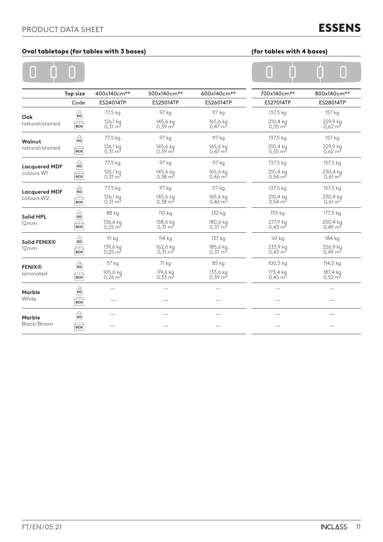# ESSENS

## Oval tabletops (for tables with 3 bases) (for tables with 4 bases)

### $\overline{\Omega}$ Ò  $\overline{\Omega}$

| for tables with 4 bases) |  |
|--------------------------|--|
|--------------------------|--|

|                                    | <b>Top size</b>                        | 400x140cm**                       | 500x140cm**                    | 600x140cm**                    | 700x140cm**                    | 800x140cm**                    |
|------------------------------------|----------------------------------------|-----------------------------------|--------------------------------|--------------------------------|--------------------------------|--------------------------------|
|                                    | Code                                   | ES24014TP                         | ES25014TP                      | ES26014TP                      | <b>ES27014TP</b>               | ES28014TP                      |
| Oak                                | $\frac{1}{16}$                         | 77,5 kg                           | 97 kg                          | 117 kg                         | 137,5 kg                       | 157 kg                         |
| natural/stained                    | $\sqrt{2}$<br><b>BOX</b>               | 126,1 kg<br>$0,31 \text{ m}^3$    | 145,6 kg<br>$0,39 \text{ m}^3$ | 165,6 kg<br>$0,47 \text{ m}^3$ | 210,4 kg<br>$0,55 \text{ m}^3$ | 229,9 kg<br>$0,62 \text{ m}^3$ |
| Walnut                             | $\frac{1}{\kappa}$                     | 77,5 kg                           | 97 kg                          | 117 kg                         | 137,5 kg                       | 157 kg                         |
| natural/stained                    | $\bigoplus$                            | 126,1 kg<br>$0,31 \,\mathrm{m}^3$ | 145,6 kg<br>$0,39 \text{ m}^3$ | 165,6 kg<br>$0.47 \text{ m}^3$ | 210,4 kg<br>$0,55 \text{ m}^3$ | 229,9 kg<br>$0,62 \text{ m}^3$ |
| <b>Lacquered MDF</b>               | $\frac{1}{\kappa G}$                   | 77,5 kg                           | 97 kg                          | 117 kg                         | 137,5 kg                       | 157,5 kg                       |
| colours W1                         | $\Box$<br><b>BOX</b>                   | 126,1 kg<br>$0,31 \text{ m}^3$    | 145,6 kg<br>$0,38 \text{ m}^3$ | 165,6 kg<br>$0,46 \text{ m}^3$ | 210,4 kg<br>$0,54 \text{ m}^3$ | 230,4 kg<br>$0,61 \text{ m}^3$ |
| <b>Lacquered MDF</b><br>colours W2 | $\frac{1}{\kappa}$                     | 77,5 kg                           | 97 kg                          | 117 kg                         | 137,5 kg                       | 157,5 kg                       |
|                                    | $\Box$<br><b>BOX</b>                   | 126,1 kg<br>$0,31 \, \text{m}^3$  | 145,6 kg<br>$0,38 \text{ m}^3$ | 165,6 kg<br>$0,46 \text{ m}^3$ | 210,4 kg<br>$0.54 \text{ m}^3$ | 230,4 kg<br>$0,61 \text{ m}^3$ |
| <b>Solid HPL</b>                   | $\frac{2}{\kappa G}$                   | 88 kg                             | 110 kg                         | 132 kg                         | 155 kg                         | 177,5 kg                       |
| 12mm                               | $\overline{\phantom{a}}$<br><b>BOX</b> | 136,6 kg<br>0,25 m <sup>3</sup>   | 158,6 kg<br>$0,31 \text{ m}^3$ | 180,6 kg<br>$0,37 \text{ m}^3$ | 277,9 kg<br>$0.43 \text{ m}^3$ | 250,4 kg<br>$0.49 \text{ m}^3$ |
| Solid FENIX <sup>®</sup>           | $\frac{1}{16}$                         | 91 kg                             | 114 kg                         | 137 kg                         | 161 kg                         | 184 kg                         |
| 12mm                               | $\equiv$<br><b>BOX</b>                 | 139,6 kg<br>$0,25 \text{ m}^3$    | 162,6 kg<br>$0,31 \text{ m}^3$ | 185,6 kg<br>$0,37 \text{ m}^3$ | 233,9 kg<br>$0,43 \text{ m}^3$ | 256,9 kg<br>$0,49 \text{ m}^3$ |
| <b>FENIX®</b>                      | $\frac{D}{\kappa G}$                   | 57 kg                             | 71 kg                          | 85 kg                          | 100,5 kg                       | 114,5 kg                       |
| laminated                          | $\Box$<br><b>BOX</b>                   | 105,6 kg<br>$0.26 \text{ m}^3$    | 119,6 kg<br>$0.33 \text{ m}^3$ | 133,6 kg<br>$0,39 \text{ m}^3$ | 173,4 kg<br>$0.45 \text{ m}^3$ | 187,4 kg<br>$0,52 \text{ m}^3$ |
| <b>Marble</b>                      | $\frac{1}{\kappa G}$                   |                                   |                                |                                |                                |                                |
| White                              | $\sqrt{2}$<br><b>BOX</b>               |                                   |                                |                                |                                |                                |
| <b>Marble</b>                      | $\frac{D}{\kappa G}$                   |                                   |                                |                                |                                |                                |
| Black/Brown                        | $\bigoplus$                            |                                   |                                |                                |                                |                                |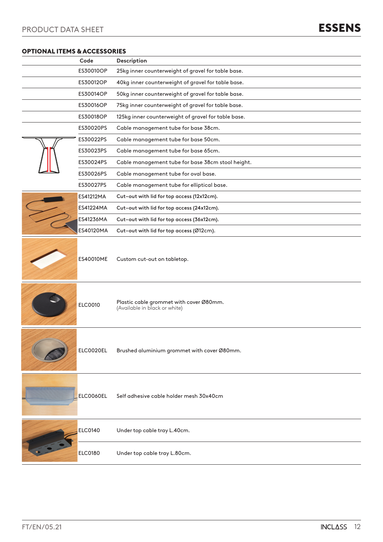### OPTIONAL ITEMS & ACCESSORIES

| Code           | Description                                                              |
|----------------|--------------------------------------------------------------------------|
| ES30010OP      | 25kg inner counterweight of gravel for table base.                       |
| ES30012OP      | 40kg inner counterweight of gravel for table base.                       |
| ES30014OP      | 50kg inner counterweight of gravel for table base.                       |
| ES30016OP      | 75kg inner counterweight of gravel for table base.                       |
| ES30018OP      | 125kg inner counterweight of gravel for table base.                      |
| ES30020PS      | Cable management tube for base 38cm.                                     |
| ES30022PS      | Cable management tube for base 50cm.                                     |
| ES30023PS      | Cable management tube for base 65cm.                                     |
| ES30024PS      | Cable management tube for base 38cm stool height.                        |
| ES30026PS      | Cable management tube for oval base.                                     |
| ES30027PS      | Cable management tube for elliptical base.                               |
| ES41212MA      | Cut-out with lid for top access (12x12cm).                               |
| ES41224MA      | Cut-out with lid for top access (24x12cm).                               |
| ES41236MA      | Cut-out with lid for top access (36x12cm).                               |
| ES40120MA      | Cut-out with lid for top access (Ø12cm).                                 |
| ES40010ME      | Custom cut-out on tabletop.                                              |
| <b>ELC0010</b> | Plastic cable grommet with cover Ø80mm.<br>(Available in black or white) |
| ELC0020EL      | Brushed aluminium grommet with cover Ø80mm.                              |
| ELC0060EL      | Self adhesive cable holder mesh 30x40cm                                  |
| <b>ELC0140</b> | Under top cable tray L.40cm.                                             |
| <b>ELC0180</b> | Under top cable tray L.80cm.                                             |